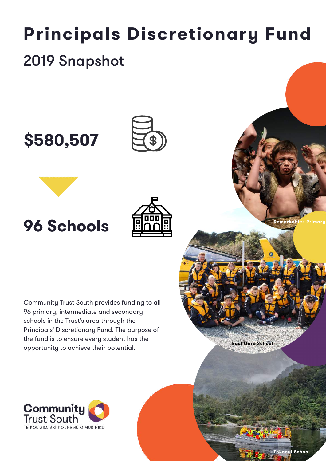# **Principals Discretionary Fund** 2019 Snapshot









Community Trust South provides funding to all 96 primary, intermediate and secondary schools in the Trust's area through the Principals' Discretionary Fund. The purpose of the fund is to ensure every student has the opportunity to achieve their potential.





**East Gore School**

**Remarkables Primary**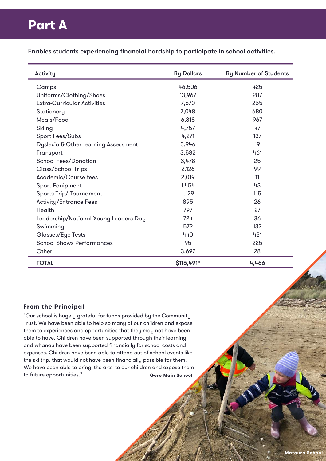# **Part A**

Enables students experiencing financial hardship to participate in school activities.

| Activity                              | <b>By Dollars</b> | <b>By Number of Students</b> |
|---------------------------------------|-------------------|------------------------------|
| Camps                                 | 46,506            | 425                          |
| Uniforms/Clothing/Shoes               | 13,967            | 287                          |
| <b>Extra-Curricular Activities</b>    | 7,670             | 255                          |
| Stationery                            | 7,048             | 680                          |
| Meals/Food                            | 6,318             | 967                          |
| Skiing                                | 4,757             | 47                           |
| Sport Fees/Subs                       | 4,271             | 137                          |
| Dyslexia & Other learning Assessment  | 3,946             | 19                           |
| Transport                             | 3,582             | 461                          |
| <b>School Fees/Donation</b>           | 3,478             | 25                           |
| <b>Class/School Trips</b>             | 2,126             | 99                           |
| Academic/Course fees                  | 2,019             | 11                           |
| <b>Sport Equipment</b>                | 1,454             | 43                           |
| Sports Trip/Tournament                | 1,129             | 115                          |
| <b>Activity/Entrance Fees</b>         | 895               | 26                           |
| Health                                | 797               | 27                           |
| Leadership/National Young Leaders Day | 724               | 36                           |
| Swimming                              | 572               | 132                          |
| Glasses/Eye Tests                     | 440               | 421                          |
| <b>School Shows Performances</b>      | 95                | 225                          |
| Other                                 | 3,697             | 28                           |
| <b>TOTAL</b>                          | $$115,491*$       | 4,466                        |

### **From the Principal**

"Our school is hugely grateful for funds provided by the Community Trust. We have been able to help so many of our children and expose them to experiences and opportunities that they may not have been able to have. Children have been supported through their learning and whanau have been supported financially for school costs and expenses. Children have been able to attend out of school events like the ski trip, that would not have been financially possible for them. We have been able to bring 'the arts' to our children and expose them to future opportunities." **Gore Main School**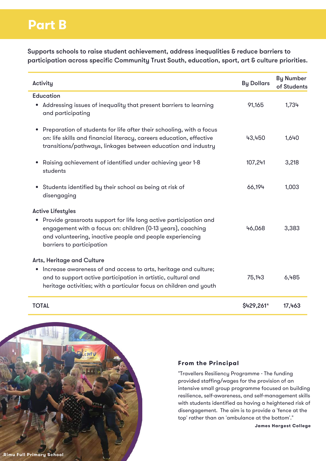# **Part B**

Supports schools to raise student achievement, address inequalities & reduce barriers to participation across specific Community Trust South, education, sport, art & culture priorities.

| Activity                                                                                                                                                                                                                                                 | <b>By Dollars</b> | <b>By Number</b><br>of Students |
|----------------------------------------------------------------------------------------------------------------------------------------------------------------------------------------------------------------------------------------------------------|-------------------|---------------------------------|
| <b>Education</b><br>• Addressing issues of inequality that present barriers to learning<br>and participating                                                                                                                                             | 91,165            | 1,734                           |
| Preparation of students for life after their schooling, with a focus<br>٠<br>on: life skills and financial literacy, careers education, effective<br>transitions/pathways, linkages between education and industry                                       | 43,450            | 1,640                           |
| Raising achievement of identified under achieving year 1-8<br>$\bullet$<br>students                                                                                                                                                                      | 107,241           | 3,218                           |
| • Students identified by their school as being at risk of<br>disengaging                                                                                                                                                                                 | 66,194            | 1,003                           |
| <b>Active Lifestyles</b><br>• Provide grassroots support for life long active participation and<br>engagement with a focus on: children (0-13 years), coaching<br>and volunteering, inactive people and people experiencing<br>barriers to participation | 46,068            | 3,383                           |
| <b>Arts, Heritage and Culture</b><br>• Increase awareness of and access to arts, heritage and culture;<br>and to support active participation in artistic, cultural and<br>heritage activities; with a particular focus on children and youth            | 75,143            | 6,485                           |
| <b>TOTAL</b>                                                                                                                                                                                                                                             | $$429,261*$       | 17,463                          |



#### **From the Principal**

"Travellers Resiliency Programme - The funding provided staffing/wages for the provision of an intensive small group programme focused on building resilience, self-awareness, and self-management skills with students identified as having a heightened risk of disengagement. The aim is to provide a 'fence at the top' rather than an 'ambulance at the bottom'."

**James Hargest College**